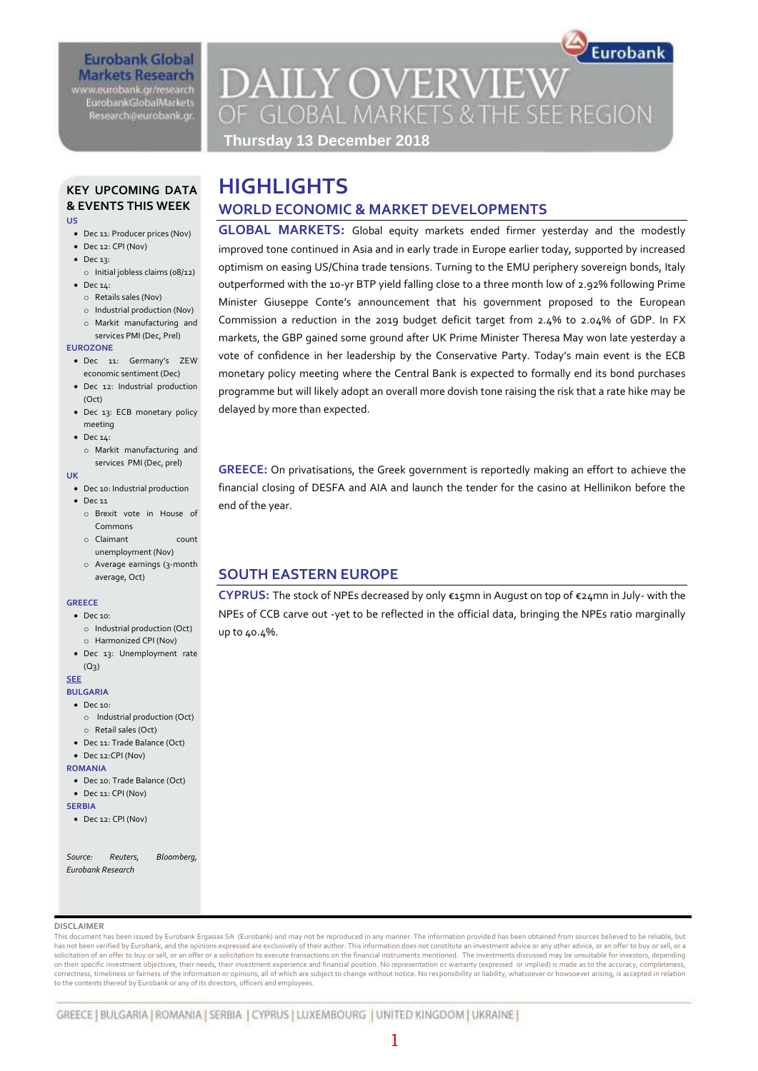## **Eurobank Global Markets Research** www.eurobank.gr/research **EurobankGlobalMarkets**

Research@eurobank.gr

# **DAILY OVERVIEW** OF GLOBAL MARKETS & THE SEE REGION

Eurobank

**Thursday 13 December 2018**

## **KEY UPCOMING DATA & EVENTS THIS WEEK US**

- Dec 11: Producer prices (Nov)
- Dec 12: CPI (Nov)
- Dec 13:
	- o Initial jobless claims (08/12)
- Dec 14:
	- o Retails sales (Nov)
	- o Industrial production (Nov)
	- o Markit manufacturing and services PMI (Dec, Prel)

#### **EUROZONE**

- Dec 11: Germany's ZEW economic sentiment (Dec)
- Dec 12: Industrial production (Oct)
- Dec 13: ECB monetary policy meeting
- $\bullet$  Dec 14:
- o Markit manufacturing and services PMI (Dec, prel)

#### **UK**

- Dec 10: Industrial production
- $\bullet$  Dec 11
	- o Brexit vote in House of Commons
	- o Claimant count unemployment (Nov)
	- o Average earnings (3-month average, Oct)

#### **GREECE**

- Dec 10: o Industrial production (Oct)
	- o Harmonized CPI (Nov)
- Dec 13: Unemployment rate  $(Q<sub>3</sub>)$

### **SEE**

- **BULGARIA**
- Dec 10:
- o Industrial production (Oct)
- o Retail sales (Oct)
- Dec 11: Trade Balance (Oct)
- Dec 12:CPI (Nov)

### **ROMANIA**

- Dec 10: Trade Balance (Oct)
- Dec 11: CPI (Nov)
- **SERBIA**
- Dec 12: CPI (Nov)

*Source: Reuters, Bloomberg, Eurobank Research*

### **DISCLAIMER**

This document has been issued by Eurobank Ergasias SA (Eurobank) and may not be reproduced in any manner. The information provided has been obtained from sources believed to be reliable, but has not been verified by Eurobank, and the opinions expressed are exclusively of their author. This information does not constitute an investment advice or any other advice, or an offer to buy or sell, or a solicitation of an offer to buy or sell, or an offer or a solicitation to execute transactions on the financial instruments mentioned. The investments discussed may be unsuitable for investors, depending<br>on their specific correctness, timeliness or fairness of the information or opinions, all of which are subject to change without notice. No responsibility or liability, whatsoever or howsoever arising, is accepted in relation to the contents thereof by Eurobank or any of its directors, officers and employees.

# **HIGHLIGHTS WORLD ECONOMIC & MARKET DEVELOPMENTS**

**GLOBAL MARKETS:** Global equity markets ended firmer yesterday and the modestly improved tone continued in Asia and in early trade in Europe earlier today, supported by increased optimism on easing US/China trade tensions. Turning to the EMU periphery sovereign bonds, Italy outperformed with the 10-yr BTP yield falling close to a three month low of 2.92% following Prime Minister Giuseppe Conte's announcement that his government proposed to the European Commission a reduction in the 2019 budget deficit target from 2.4% to 2.04% of GDP. In FX markets, the GBP gained some ground after UK Prime Minister Theresa May won late yesterday a vote of confidence in her leadership by the Conservative Party. Today's main event is the ECB monetary policy meeting where the Central Bank is expected to formally end its bond purchases programme but will likely adopt an overall more dovish tone raising the risk that a rate hike may be delayed by more than expected.

**GREECE:** On privatisations, the Greek government is reportedly making an effort to achieve the financial closing of DESFA and AIA and launch the tender for the casino at Hellinikon before the end of the year.

## **SOUTH EASTERN EUROPE**

**CYPRUS:** The stock of NPEs decreased by only €15mn in August on top of €24mn in July- with the NPEs of CCB carve out -yet to be reflected in the official data, bringing the NPEs ratio marginally up to 40.4%.

## 1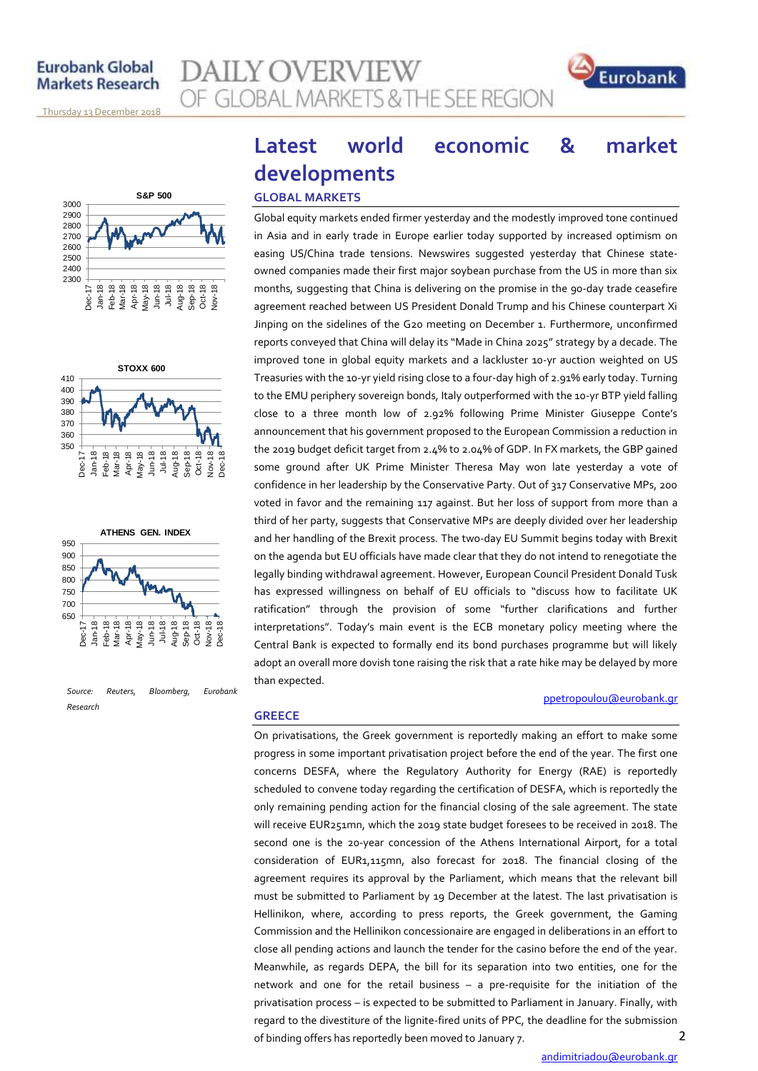## **Eurobank Global Markets Research**

AILY OVERVIEW **GLOBAL MARKETS & THE SEE REGION** 



<u>Thursday 13 December 2018</u>







*Source: Reuters, Bloomberg, Eurobank Research*

# **Latest world economic & market developments**

## **GLOBAL MARKETS**

**GREECE**

Global equity markets ended firmer yesterday and the modestly improved tone continued in Asia and in early trade in Europe earlier today supported by increased optimism on easing US/China trade tensions. Newswires suggested yesterday that Chinese stateowned companies made their first major soybean purchase from the US in more than six months, suggesting that China is delivering on the promise in the 90-day trade ceasefire agreement reached between US President Donald Trump and his Chinese counterpart Xi Jinping on the sidelines of the G20 meeting on December 1. Furthermore, unconfirmed reports conveyed that China will delay its "Made in China 2025" strategy by a decade. The improved tone in global equity markets and a lackluster 10-yr auction weighted on US Treasuries with the 10-yr yield rising close to a four-day high of 2.91% early today. Turning to the EMU periphery sovereign bonds, Italy outperformed with the 10-yr BTP yield falling close to a three month low of 2.92% following Prime Minister Giuseppe Conte's announcement that his government proposed to the European Commission a reduction in the 2019 budget deficit target from 2.4% to 2.04% of GDP. In FX markets, the GBP gained some ground after UK Prime Minister Theresa May won late yesterday a vote of confidence in her leadership by the Conservative Party. Out of 317 Conservative MPs, 200 voted in favor and the remaining 117 against. But her loss of support from more than a third of her party, suggests that Conservative MPs are deeply divided over her leadership and her handling of the Brexit process. The two-day EU Summit begins today with Brexit on the agenda but EU officials have made clear that they do not intend to renegotiate the legally binding withdrawal agreement. However, European Council President Donald Tusk has expressed willingness on behalf of EU officials to "discuss how to facilitate UK ratification" through the provision of some "further clarifications and further interpretations". Today's main event is the ECB monetary policy meeting where the Central Bank is expected to formally end its bond purchases programme but will likely adopt an overall more dovish tone raising the risk that a rate hike may be delayed by more than expected.

## [ppetropoulou@eurobank.gr](mailto:ppetropoulou@eurobank.gr)

2 On privatisations, the Greek government is reportedly making an effort to make some progress in some important privatisation project before the end of the year. The first one concerns DESFA, where the Regulatory Authority for Energy (RAE) is reportedly scheduled to convene today regarding the certification of DESFA, which is reportedly the only remaining pending action for the financial closing of the sale agreement. The state will receive EUR251mn, which the 2019 state budget foresees to be received in 2018. The second one is the 20-year concession of the Athens International Airport, for a total consideration of EUR1,115mn, also forecast for 2018. The financial closing of the agreement requires its approval by the Parliament, which means that the relevant bill must be submitted to Parliament by 19 December at the latest. The last privatisation is Hellinikon, where, according to press reports, the Greek government, the Gaming Commission and the Hellinikon concessionaire are engaged in deliberations in an effort to close all pending actions and launch the tender for the casino before the end of the year. Meanwhile, as regards DEPA, the bill for its separation into two entities, one for the network and one for the retail business – a pre-requisite for the initiation of the privatisation process – is expected to be submitted to Parliament in January. Finally, with regard to the divestiture of the lignite-fired units of PPC, the deadline for the submission of binding offers has reportedly been moved to January 7.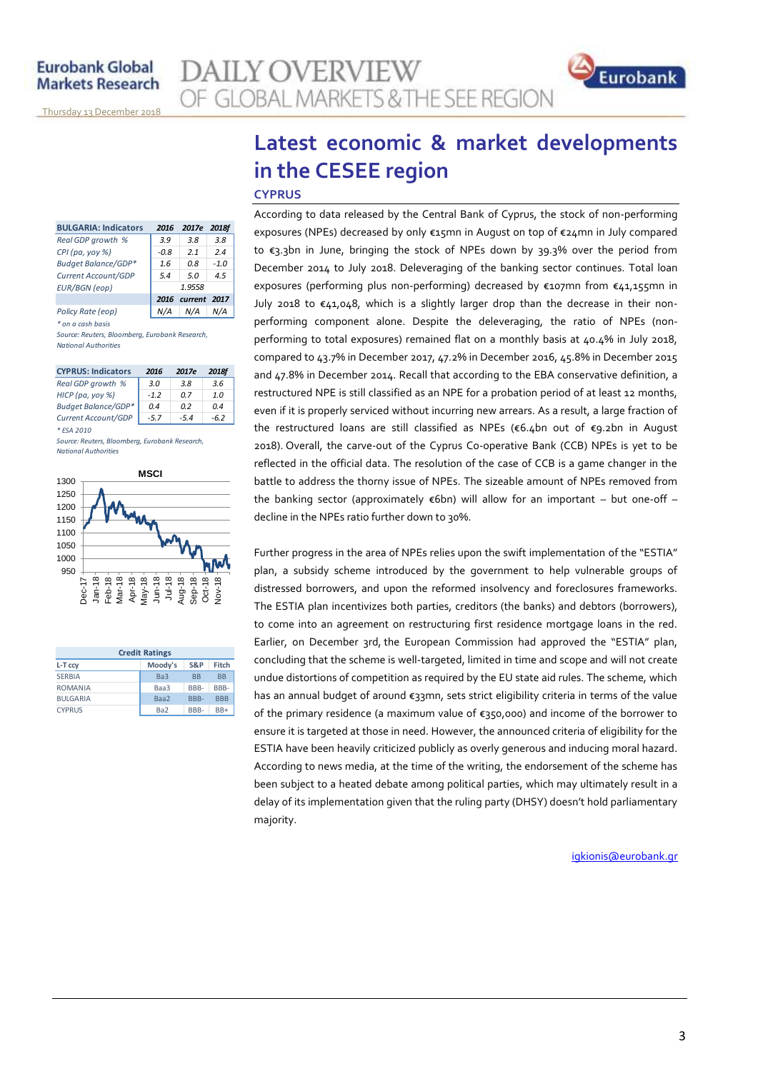| <b>BULGARIA: Indicators</b> | 2016   | 2017e             | 2018f  |  |  |  |  |
|-----------------------------|--------|-------------------|--------|--|--|--|--|
| Real GDP growth %           | 3.9    | 3.8               | 3.8    |  |  |  |  |
| $CPI$ (pa, yoy %)           | $-0.8$ | 21                | 24     |  |  |  |  |
| Budget Balance/GDP*         | 1.6    | 0.8               | $-1.0$ |  |  |  |  |
| Current Account/GDP         | 5.4    | 5.0               | 4.5    |  |  |  |  |
| <b>EUR/BGN</b> (eop)        | 1.9558 |                   |        |  |  |  |  |
|                             |        | 2016 current 2017 |        |  |  |  |  |
| Policy Rate (eop)           |        | N/A               |        |  |  |  |  |

*\* on a cash basis Source: Reuters, Bloomberg, Eurobank Research, National Authorities*

| <b>CYPRUS: Indicators</b>  | 2016   | 2017e | <b>2018f</b> |
|----------------------------|--------|-------|--------------|
| Real GDP growth %          | 3.0    | 3.8   | 3.6          |
| HICP (pa, yoy %)           | $-1.2$ | 0 Z   | 1.0          |
| <b>Budget Balance/GDP*</b> | 0.4    | n 2   | 0.4          |
| Current Account/GDP        | $-57$  | $-54$ | $-6.2$       |

*\* ESA 2010 Source: Reuters, Bloomberg, Eurobank Research, National Authorities*



| <b>Credit Ratings</b> |                 |                      |            |  |  |  |  |  |  |  |
|-----------------------|-----------------|----------------------|------------|--|--|--|--|--|--|--|
| L-T ccy               | Moody's         | S&P                  | Fitch      |  |  |  |  |  |  |  |
| <b>SERBIA</b>         | Ba3             | <b>B<sub>R</sub></b> | <b>BB</b>  |  |  |  |  |  |  |  |
| <b>ROMANIA</b>        | Baa3            | RRR-                 | BBB-       |  |  |  |  |  |  |  |
| <b>BULGARIA</b>       | Baa2            | RRR-                 | <b>RRR</b> |  |  |  |  |  |  |  |
| <b>CYPRUS</b>         | Ba <sub>2</sub> | RRR-                 | $BB+$      |  |  |  |  |  |  |  |

# **Latest economic & market developments in the CESEE region CYPRUS**

**AILY OVERVIEW** 

OF GLOBAL MARKETS & THE SEE REGION

According to data released by the Central Bank of Cyprus, the stock of non-performing exposures (NPEs) decreased by only €15mn in August on top of €24mn in July compared to €3.3bn in June, bringing the stock of NPEs down by 39.3% over the period from December 2014 to July 2018. Deleveraging of the banking sector continues. Total loan exposures (performing plus non-performing) decreased by €107mn from €41,155mn in July 2018 to  $\epsilon$ 41,048, which is a slightly larger drop than the decrease in their nonperforming component alone. Despite the deleveraging, the ratio of NPEs (nonperforming to total exposures) remained flat on a monthly basis at 40.4% in July 2018, compared to 43.7% in December 2017, 47.2% in December 2016, 45.8% in December 2015 and 47.8% in December 2014. Recall that according to the EBA conservative definition, a restructured NPE is still classified as an NPE for a probation period of at least 12 months, even if it is properly serviced without incurring new arrears. As a result, a large fraction of the restructured loans are still classified as NPEs (€6.4bn out of €9.2bn in August 2018). Overall, the carve-out of the Cyprus Co-operative Bank (CCB) NPEs is yet to be reflected in the official data. The resolution of the case of CCB is a game changer in the battle to address the thorny issue of NPEs. The sizeable amount of NPEs removed from the banking sector (approximately  $\epsilon$ 6bn) will allow for an important – but one-off – decline in the NPEs ratio further down to 30%.

Further progress in the area of NPEs relies upon the swift implementation of the "ESTIA" plan, a subsidy scheme introduced by the government to help vulnerable groups of distressed borrowers, and upon the reformed insolvency and foreclosures frameworks. The ESTIA plan incentivizes both parties, creditors (the banks) and debtors (borrowers), to come into an agreement on restructuring first residence mortgage loans in the red. Earlier, on December 3rd, the European Commission had approved the "ESTIA" plan, concluding that the scheme is well-targeted, limited in time and scope and will not create undue distortions of competition as required by the EU state aid rules. The scheme, which has an annual budget of around €33mn, sets strict eligibility criteria in terms of the value of the primary residence (a maximum value of €350,000) and income of the borrower to ensure it is targeted at those in need. However, the announced criteria of eligibility for the ESTIA have been heavily criticized publicly as overly generous and inducing moral hazard. According to news media, at the time of the writing, the endorsement of the scheme has been subject to a heated debate among political parties, which may ultimately result in a delay of its implementation given that the ruling party (DHSY) doesn't hold parliamentary majority.

[igkionis@eurobank.gr](mailto:igkionis@eurobank.gr)

Eurobank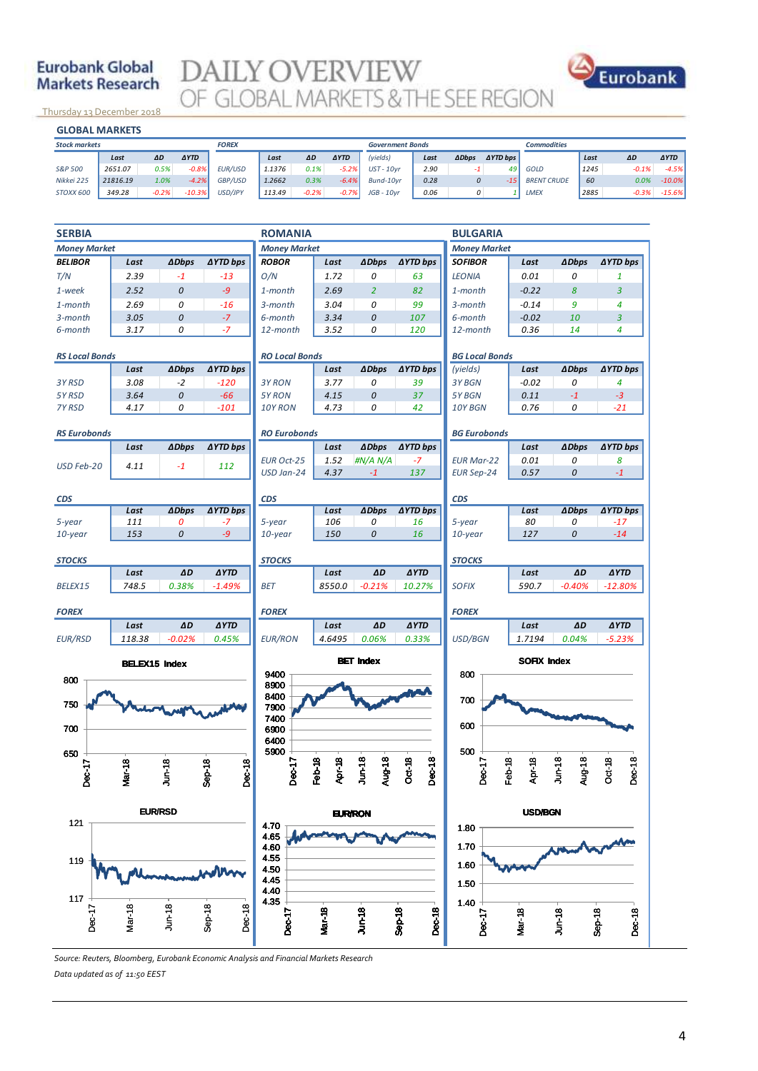## **Eurobank Global Markets Research**



<u>Thursday 13 December 2018</u>

| าบrsday 13 December 2018 |          |         |             |              |        |         |             |                         |      |              |                 |                    |      |         |             |
|--------------------------|----------|---------|-------------|--------------|--------|---------|-------------|-------------------------|------|--------------|-----------------|--------------------|------|---------|-------------|
| <b>GLOBAL MARKETS</b>    |          |         |             |              |        |         |             |                         |      |              |                 |                    |      |         |             |
| <b>Stock markets</b>     |          |         |             | <b>FOREX</b> |        |         |             | <b>Government Bonds</b> |      |              |                 | <b>Commodities</b> |      |         |             |
|                          | Last     | ΔD      | <b>AYTD</b> |              | Last   | ΔD      | <b>AYTD</b> | (yields)                | Last | <b>ADbps</b> | <b>AYTD</b> bps |                    | Last | ΔD      | <b>AYTD</b> |
| S&P 500                  | 2651.07  | 0.5%    | $-0.8%$     | EUR/USD      | 1.1376 | 0.1%    | $-5.2%$     | $UST - 10vr$            | 2.90 | $-1$         | 49              | GOLD               | 1245 | $-0.1%$ | $-4.5%$     |
| Nikkei 225               | 21816.19 | 1.0%    | $-4.2%$     | GBP/USD      | 1.2662 | 0.3%    | $-6.4%$     | Bund-10vr               | 0.28 | 0            | $-15$           | <b>BRENT CRUDE</b> | 60   | 0.0%    | $-10.0%$    |
| STOXX 600                | 349.28   | $-0.2%$ | $-10.3%$    | USD/JPY      | 113.49 | $-0.2%$ | $-0.7%$     | $JGB - 10vr$            | 0.06 | 0            |                 | <b>LMEX</b>        | 2885 | $-0.3%$ | $-15.6%$    |
|                          |          |         |             |              |        |         |             |                         |      |              |                 |                    |      |         |             |

| <b>SERBIA</b>                                   |                      |                |                    | <b>ROMANIA</b>        |                  |                     |                           | <b>BULGARIA</b>       |                  |                     |                    |  |
|-------------------------------------------------|----------------------|----------------|--------------------|-----------------------|------------------|---------------------|---------------------------|-----------------------|------------------|---------------------|--------------------|--|
| <b>Money Market</b>                             |                      |                |                    | <b>Money Market</b>   |                  |                     |                           | <b>Money Market</b>   |                  |                     |                    |  |
| <b>BELIBOR</b>                                  | Last                 | <b>ADbps</b>   | <b>∆YTD bps</b>    | <b>ROBOR</b>          | Last             | <b>ADbps</b>        | <b>AYTD bps</b>           | <b>SOFIBOR</b>        | Last             | <b>ADbps</b>        | <b>∆YTD bps</b>    |  |
| T/N                                             | 2.39                 | $-1$           | $-13$              | O/N                   | 1.72             | 0                   | 63                        | <b>LEONIA</b>         | 0.01             | 0                   | 1                  |  |
| 1-week                                          | 2.52                 | $\overline{O}$ | $-9$               | 1-month               | 2.69             | $\overline{2}$      | 82                        | 1-month               | $-0.22$          | 8                   | $\overline{3}$     |  |
| 1-month                                         | 2.69                 | 0              | $-16$              | 3-month               | 3.04             | 0                   | 99                        | 3-month               | $-0.14$          | 9                   | $\overline{4}$     |  |
| 3-month                                         | 3.05                 | 0              | $-7$               | 6-month               | 3.34             | 0                   | 107                       | 6-month               | $-0.02$          | 10                  | 3                  |  |
| 6-month                                         | 3.17                 | 0              | $-7$               | 12-month              | 3.52             | 0                   | 120                       | 12-month              | 0.36             | 14                  | 4                  |  |
| <b>RS Local Bonds</b>                           |                      |                |                    | <b>RO Local Bonds</b> |                  |                     |                           | <b>BG Local Bonds</b> |                  |                     |                    |  |
|                                                 | Last                 | <b>ADbps</b>   | <b>∆YTD bps</b>    |                       | Last             | <b>ADbps</b>        | <b>AYTD bps</b>           | (yields)              | Last             | <b>ADbps</b>        | <b>∆YTD bps</b>    |  |
| 3Y RSD                                          | 3.08                 | $-2$           | $-120$             | 3Y RON                | 3.77             | 0                   | 39                        | 3Y BGN                | $-0.02$          | 0                   | 4                  |  |
| 5Y RSD                                          | 3.64                 | 0              | $-66$              | 5YRON                 | 4.15             | 0                   | 37                        | 5Y BGN                | 0.11             | $-1$                | $-3$               |  |
| 7Y RSD                                          | 4.17                 | 0              | $-101$             | 10Y RON               | 4.73             | 0                   | 42                        | 10Y BGN               | 0.76             | 0                   | $-21$              |  |
| <b>RS Eurobonds</b>                             |                      |                |                    | <b>RO Eurobonds</b>   |                  |                     |                           | <b>BG Eurobonds</b>   |                  |                     |                    |  |
|                                                 | Last                 | <b>ADbps</b>   | <b>∆YTD bps</b>    |                       | Last             | <b>ADbps</b>        | ∆YTD bps                  |                       | Last             | <b>ADbps</b>        | <b>AYTD bps</b>    |  |
| USD Feb-20                                      | 4.11                 | $-1$           | 112                | <b>EUR Oct-25</b>     | 1.52             | #N/A N/A            | $-7$                      | <b>EUR Mar-22</b>     | 0.01             | 0                   | 8                  |  |
|                                                 |                      |                |                    | USD Jan-24            | 4.37             | $-1$                | 137                       | <b>EUR Sep-24</b>     | 0.57             | 0                   | $-1$               |  |
|                                                 |                      |                |                    |                       |                  |                     |                           |                       |                  |                     |                    |  |
| <b>CDS</b>                                      | Last                 | <b>ADbps</b>   | <b>AYTD bps</b>    | <b>CDS</b>            | Last             | <b>ADbps</b>        | <b>∆YTD bps</b>           | <b>CDS</b>            | Last             | <b>ADbps</b>        | <b>∆YTD bps</b>    |  |
| 5-year                                          | 111                  | 0              | $-7$               | 5-year                | 106              | 0                   | 16                        | 5-year                | 80               | 0                   | $-17$              |  |
| 10-year                                         | 153                  | 0              | $-9$               | $10$ -year            | 150              | 0                   | 16                        | $10$ -year            | 127              | 0                   | $-14$              |  |
|                                                 |                      |                |                    |                       |                  |                     |                           |                       |                  |                     |                    |  |
| <b>STOCKS</b>                                   |                      |                |                    | <b>STOCKS</b>         |                  |                     |                           | <b>STOCKS</b>         |                  |                     |                    |  |
|                                                 | Last                 | AD             | <b>AYTD</b>        |                       | Last             | AD                  | <b>AYTD</b>               |                       | Last             | AD                  | <b>AYTD</b>        |  |
| BELEX15                                         | 748.5                | 0.38%          | $-1.49%$           | <b>BET</b>            | 8550.0           | $-0.21%$            | 10.27%                    | <b>SOFIX</b>          | 590.7            | $-0.40%$            | $-12.80%$          |  |
| <b>FOREX</b>                                    |                      |                |                    | <b>FOREX</b>          |                  |                     |                           | <b>FOREX</b>          |                  |                     |                    |  |
|                                                 | Last                 | ΔD             | <b>AYTD</b>        |                       | Last             | AD                  | <b>AYTD</b>               |                       | Last             | ΔD                  | <b>AYTD</b>        |  |
| <b>EUR/RSD</b>                                  | 118.38               | $-0.02%$       | 0.45%              | <b>EUR/RON</b>        | 4.6495           | 0.06%               | 0.33%                     | USD/BGN               | 1.7194           | 0.04%               | $-5.23%$           |  |
|                                                 | <b>BELEX15 Index</b> |                |                    |                       |                  | <b>BET</b> Index    |                           | <b>SOFIX Index</b>    |                  |                     |                    |  |
| 800                                             |                      |                |                    | 9400                  |                  |                     |                           | 800                   |                  |                     |                    |  |
|                                                 |                      |                |                    | 8900<br>8400          |                  |                     |                           |                       |                  |                     |                    |  |
| 750                                             | Mahonay              |                |                    | 7900                  |                  |                     |                           | 700                   |                  |                     |                    |  |
|                                                 |                      |                |                    | 7400                  |                  |                     |                           | 600                   |                  |                     |                    |  |
| 700                                             |                      |                |                    | 6900                  |                  |                     |                           |                       |                  |                     |                    |  |
| 650                                             |                      |                |                    | 6400<br>5900          |                  |                     |                           | 500                   |                  |                     |                    |  |
|                                                 |                      |                |                    | Dec-17                | Apr-18<br>Feb-18 | $J$ un-18<br>Aug-18 | Dec-18                    |                       | Feb-18<br>Apr-18 | $J$ un-18<br>Aug-18 | Dec-18             |  |
| Dec-1                                           | Mar-18               | e<br>1<br>اجرا | Dec-18<br>$Sep-18$ |                       |                  |                     | Oct-18                    | Dec-17                |                  |                     | Oct-18             |  |
|                                                 |                      |                |                    |                       |                  |                     |                           |                       |                  |                     |                    |  |
| <b>EUR/RSD</b><br><b>EUR/RON</b><br>121<br>4.70 |                      |                |                    |                       |                  |                     |                           | <b>USD/BGN</b>        |                  |                     |                    |  |
|                                                 |                      |                |                    | 4.65                  |                  |                     |                           | 1.80                  |                  |                     |                    |  |
|                                                 |                      |                |                    | 4.60                  |                  |                     |                           | 1.70                  |                  |                     |                    |  |
| 119                                             |                      |                |                    | 4.55<br>4.50          |                  |                     |                           | 1.60                  |                  |                     |                    |  |
|                                                 |                      |                |                    | 445                   |                  |                     |                           | 1.50                  |                  |                     |                    |  |
| 117                                             |                      |                |                    | 4.40                  |                  |                     |                           |                       |                  |                     |                    |  |
|                                                 |                      |                |                    | 4.35                  |                  |                     |                           | 1.40                  |                  |                     |                    |  |
| $Dec-17$                                        | Mar-18               | $J$ un-18      | Dec-18<br>$Sep-18$ | Dec <sup>-1</sup>     | <b>Mar-18</b>    | $J$ un-18           | $Sep-18$<br><b>Dec-18</b> | Dec-17                | <b>Mar-18</b>    | $J$ un-18           | $Sep-18$<br>Dec-18 |  |
|                                                 |                      |                |                    |                       |                  |                     |                           |                       |                  |                     |                    |  |

*Source: Reuters, Bloomberg, Eurobank Economic Analysis and Financial Markets Research Data updated as of 11:50 EEST*